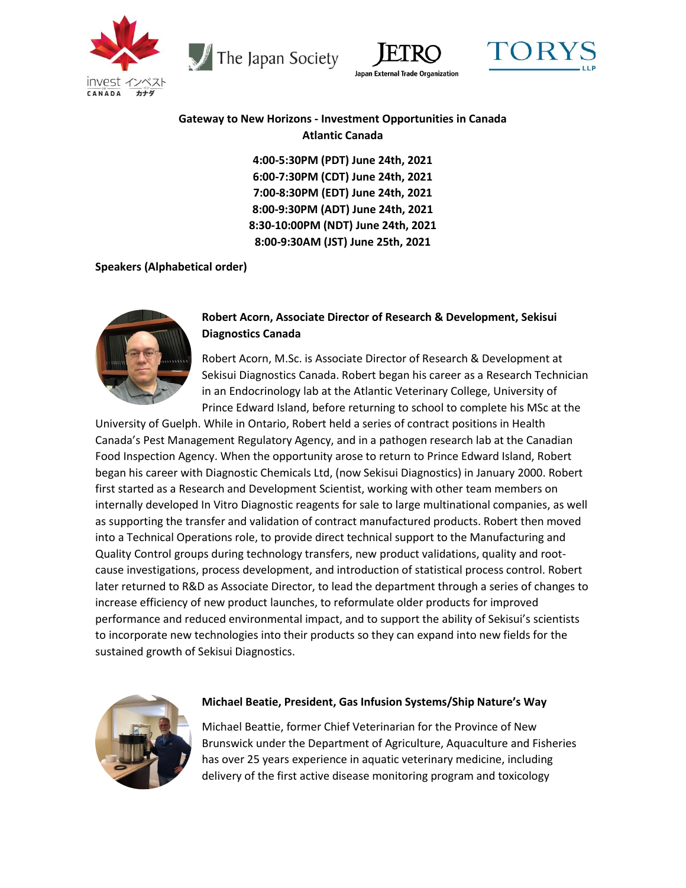

The Japan Society





# **Gateway to New Horizons - Investment Opportunities in Canada Atlantic Canada**

**4:00-5:30PM (PDT) June 24th, 2021 6:00-7:30PM (CDT) June 24th, 2021 7:00-8:30PM (EDT) June 24th, 2021 8:00-9:30PM (ADT) June 24th, 2021 8:30-10:00PM (NDT) June 24th, 2021 8:00-9:30AM (JST) June 25th, 2021**

## **Speakers (Alphabetical order)**



# **Robert Acorn, Associate Director of Research & Development, Sekisui Diagnostics Canada**

Robert Acorn, M.Sc. is Associate Director of Research & Development at Sekisui Diagnostics Canada. Robert began his career as a Research Technician in an Endocrinology lab at the Atlantic Veterinary College, University of Prince Edward Island, before returning to school to complete his MSc at the

University of Guelph. While in Ontario, Robert held a series of contract positions in Health Canada's Pest Management Regulatory Agency, and in a pathogen research lab at the Canadian Food Inspection Agency. When the opportunity arose to return to Prince Edward Island, Robert began his career with Diagnostic Chemicals Ltd, (now Sekisui Diagnostics) in January 2000. Robert first started as a Research and Development Scientist, working with other team members on internally developed In Vitro Diagnostic reagents for sale to large multinational companies, as well as supporting the transfer and validation of contract manufactured products. Robert then moved into a Technical Operations role, to provide direct technical support to the Manufacturing and Quality Control groups during technology transfers, new product validations, quality and rootcause investigations, process development, and introduction of statistical process control. Robert later returned to R&D as Associate Director, to lead the department through a series of changes to increase efficiency of new product launches, to reformulate older products for improved performance and reduced environmental impact, and to support the ability of Sekisui's scientists to incorporate new technologies into their products so they can expand into new fields for the sustained growth of Sekisui Diagnostics.



## **Michael Beatie, President, Gas Infusion Systems/Ship Nature's Way**

Michael Beattie, former Chief Veterinarian for the Province of New Brunswick under the Department of Agriculture, Aquaculture and Fisheries has over 25 years experience in aquatic veterinary medicine, including delivery of the first active disease monitoring program and toxicology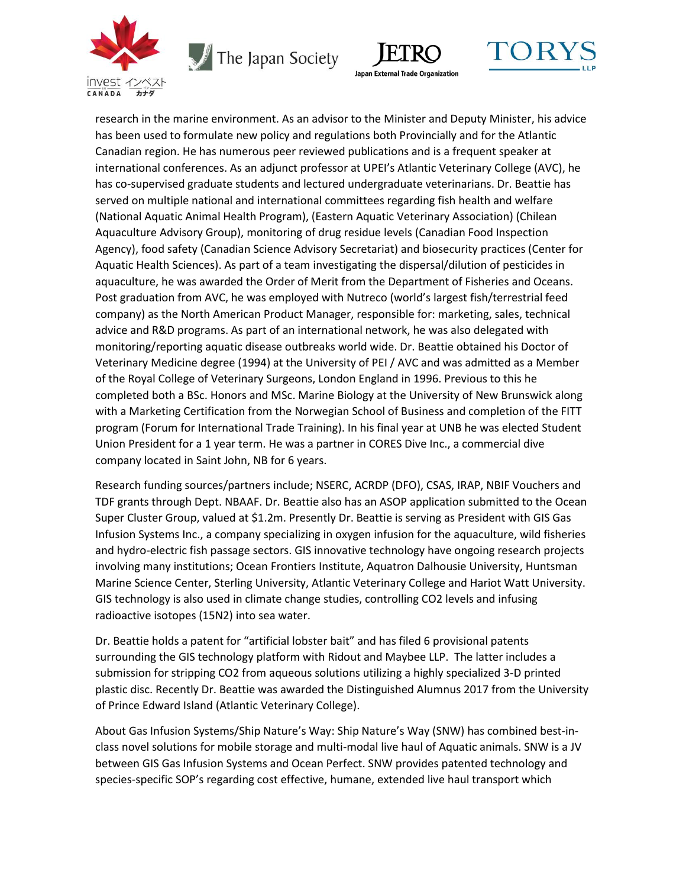

 $\sqrt{\phantom{a}}$  The Japan Society





research in the marine environment. As an advisor to the Minister and Deputy Minister, his advice has been used to formulate new policy and regulations both Provincially and for the Atlantic Canadian region. He has numerous peer reviewed publications and is a frequent speaker at international conferences. As an adjunct professor at UPEI's Atlantic Veterinary College (AVC), he has co-supervised graduate students and lectured undergraduate veterinarians. Dr. Beattie has served on multiple national and international committees regarding fish health and welfare (National Aquatic Animal Health Program), (Eastern Aquatic Veterinary Association) (Chilean Aquaculture Advisory Group), monitoring of drug residue levels (Canadian Food Inspection Agency), food safety (Canadian Science Advisory Secretariat) and biosecurity practices (Center for Aquatic Health Sciences). As part of a team investigating the dispersal/dilution of pesticides in aquaculture, he was awarded the Order of Merit from the Department of Fisheries and Oceans. Post graduation from AVC, he was employed with Nutreco (world's largest fish/terrestrial feed company) as the North American Product Manager, responsible for: marketing, sales, technical advice and R&D programs. As part of an international network, he was also delegated with monitoring/reporting aquatic disease outbreaks world wide. Dr. Beattie obtained his Doctor of Veterinary Medicine degree (1994) at the University of PEI / AVC and was admitted as a Member of the Royal College of Veterinary Surgeons, London England in 1996. Previous to this he completed both a BSc. Honors and MSc. Marine Biology at the University of New Brunswick along with a Marketing Certification from the Norwegian School of Business and completion of the FITT program (Forum for International Trade Training). In his final year at UNB he was elected Student Union President for a 1 year term. He was a partner in CORES Dive Inc., a commercial dive company located in Saint John, NB for 6 years.

Research funding sources/partners include; NSERC, ACRDP (DFO), CSAS, IRAP, NBIF Vouchers and TDF grants through Dept. NBAAF. Dr. Beattie also has an ASOP application submitted to the Ocean Super Cluster Group, valued at \$1.2m. Presently Dr. Beattie is serving as President with GIS Gas Infusion Systems Inc., a company specializing in oxygen infusion for the aquaculture, wild fisheries and hydro-electric fish passage sectors. GIS innovative technology have ongoing research projects involving many institutions; Ocean Frontiers Institute, Aquatron Dalhousie University, Huntsman Marine Science Center, Sterling University, Atlantic Veterinary College and Hariot Watt University. GIS technology is also used in climate change studies, controlling CO2 levels and infusing radioactive isotopes (15N2) into sea water.

Dr. Beattie holds a patent for "artificial lobster bait" and has filed 6 provisional patents surrounding the GIS technology platform with Ridout and Maybee LLP. The latter includes a submission for stripping CO2 from aqueous solutions utilizing a highly specialized 3-D printed plastic disc. Recently Dr. Beattie was awarded the Distinguished Alumnus 2017 from the University of Prince Edward Island (Atlantic Veterinary College).

About Gas Infusion Systems/Ship Nature's Way: Ship Nature's Way (SNW) has combined best-inclass novel solutions for mobile storage and multi-modal live haul of Aquatic animals. SNW is a JV between GIS Gas Infusion Systems and Ocean Perfect. SNW provides patented technology and species-specific SOP's regarding cost effective, humane, extended live haul transport which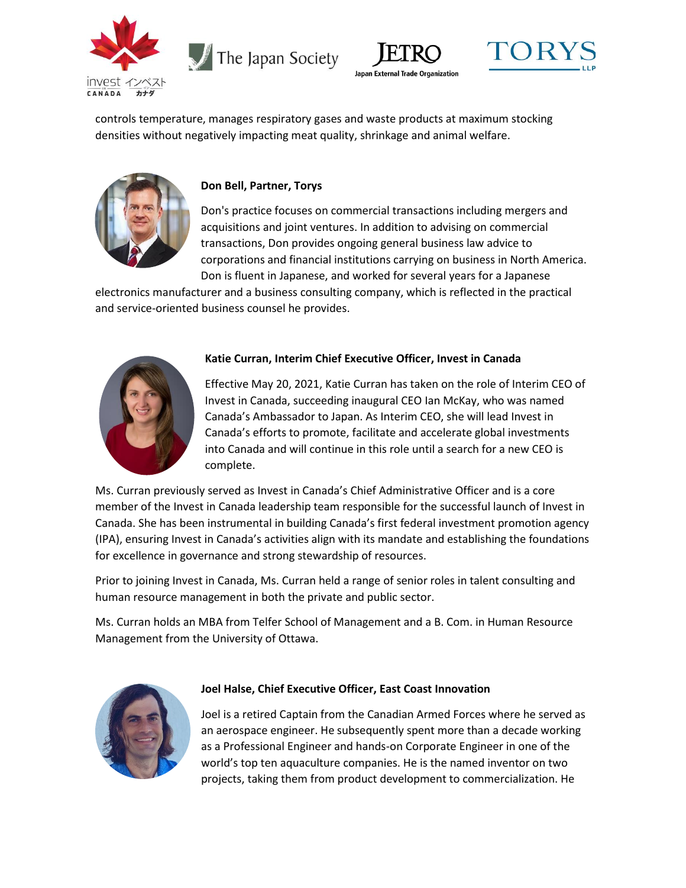

 $\sqrt{\phantom{a}}$  The Japan Society





controls temperature, manages respiratory gases and waste products at maximum stocking densities without negatively impacting meat quality, shrinkage and animal welfare.



# **Don Bell, Partner, Torys**

Don's practice focuses on commercial transactions including mergers and acquisitions and joint ventures. In addition to advising on commercial transactions, Don provides ongoing general business law advice to corporations and financial institutions carrying on business in North America. Don is fluent in Japanese, and worked for several years for a Japanese

electronics manufacturer and a business consulting company, which is reflected in the practical and service-oriented business counsel he provides.



# **Katie Curran, Interim Chief Executive Officer, Invest in Canada**

Effective May 20, 2021, Katie Curran has taken on the role of Interim CEO of Invest in Canada, succeeding inaugural CEO Ian McKay, who was named Canada's Ambassador to Japan. As Interim CEO, she will lead Invest in Canada's efforts to promote, facilitate and accelerate global investments into Canada and will continue in this role until a search for a new CEO is complete.

Ms. Curran previously served as Invest in Canada's Chief Administrative Officer and is a core member of the Invest in Canada leadership team responsible for the successful launch of Invest in Canada. She has been instrumental in building Canada's first federal investment promotion agency (IPA), ensuring Invest in Canada's activities align with its mandate and establishing the foundations for excellence in governance and strong stewardship of resources.

Prior to joining Invest in Canada, Ms. Curran held a range of senior roles in talent consulting and human resource management in both the private and public sector.

Ms. Curran holds an MBA from Telfer School of Management and a B. Com. in Human Resource Management from the University of Ottawa.



## **Joel Halse, Chief Executive Officer, East Coast Innovation**

Joel is a retired Captain from the Canadian Armed Forces where he served as an aerospace engineer. He subsequently spent more than a decade working as a Professional Engineer and hands-on Corporate Engineer in one of the world's top ten aquaculture companies. He is the named inventor on two projects, taking them from product development to commercialization. He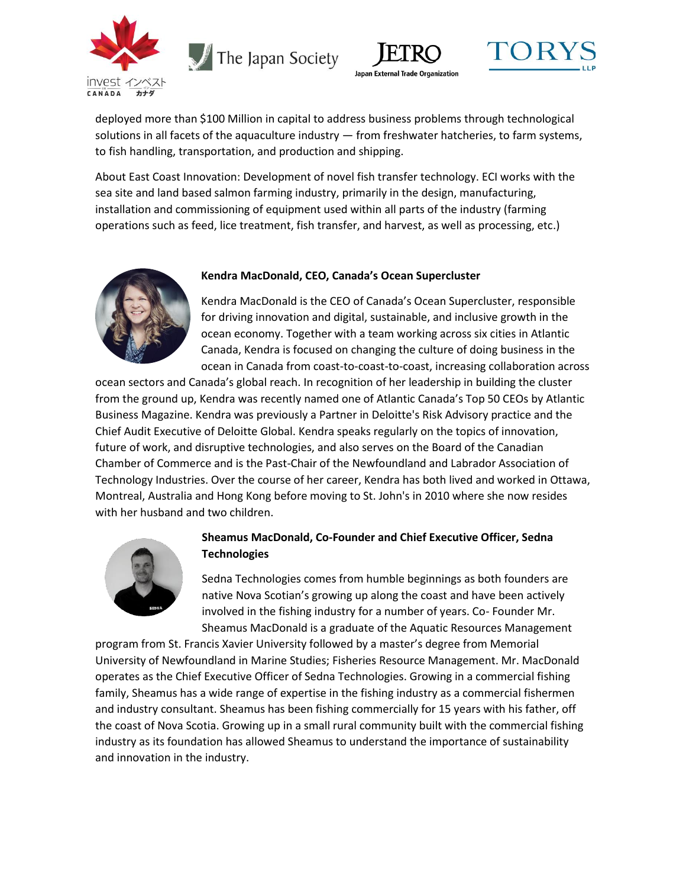

The Japan Society





deployed more than \$100 Million in capital to address business problems through technological solutions in all facets of the aquaculture industry — from freshwater hatcheries, to farm systems, to fish handling, transportation, and production and shipping.

About East Coast Innovation: Development of novel fish transfer technology. ECI works with the sea site and land based salmon farming industry, primarily in the design, manufacturing, installation and commissioning of equipment used within all parts of the industry (farming operations such as feed, lice treatment, fish transfer, and harvest, as well as processing, etc.)



#### **Kendra MacDonald, CEO, Canada's Ocean Supercluster**

Kendra MacDonald is the CEO of Canada's Ocean Supercluster, responsible for driving innovation and digital, sustainable, and inclusive growth in the ocean economy. Together with a team working across six cities in Atlantic Canada, Kendra is focused on changing the culture of doing business in the ocean in Canada from coast-to-coast-to-coast, increasing collaboration across

ocean sectors and Canada's global reach. In recognition of her leadership in building the cluster from the ground up, Kendra was recently named one of Atlantic Canada's Top 50 CEOs by Atlantic Business Magazine. Kendra was previously a Partner in Deloitte's Risk Advisory practice and the Chief Audit Executive of Deloitte Global. Kendra speaks regularly on the topics of innovation, future of work, and disruptive technologies, and also serves on the Board of the Canadian Chamber of Commerce and is the Past-Chair of the Newfoundland and Labrador Association of Technology Industries. Over the course of her career, Kendra has both lived and worked in Ottawa, Montreal, Australia and Hong Kong before moving to St. John's in 2010 where she now resides with her husband and two children.



# **Sheamus MacDonald, Co-Founder and Chief Executive Officer, Sedna Technologies**

Sedna Technologies comes from humble beginnings as both founders are native Nova Scotian's growing up along the coast and have been actively involved in the fishing industry for a number of years. Co- Founder Mr. Sheamus MacDonald is a graduate of the Aquatic Resources Management

program from St. Francis Xavier University followed by a master's degree from Memorial University of Newfoundland in Marine Studies; Fisheries Resource Management. Mr. MacDonald operates as the Chief Executive Officer of Sedna Technologies. Growing in a commercial fishing family, Sheamus has a wide range of expertise in the fishing industry as a commercial fishermen and industry consultant. Sheamus has been fishing commercially for 15 years with his father, off the coast of Nova Scotia. Growing up in a small rural community built with the commercial fishing industry as its foundation has allowed Sheamus to understand the importance of sustainability and innovation in the industry.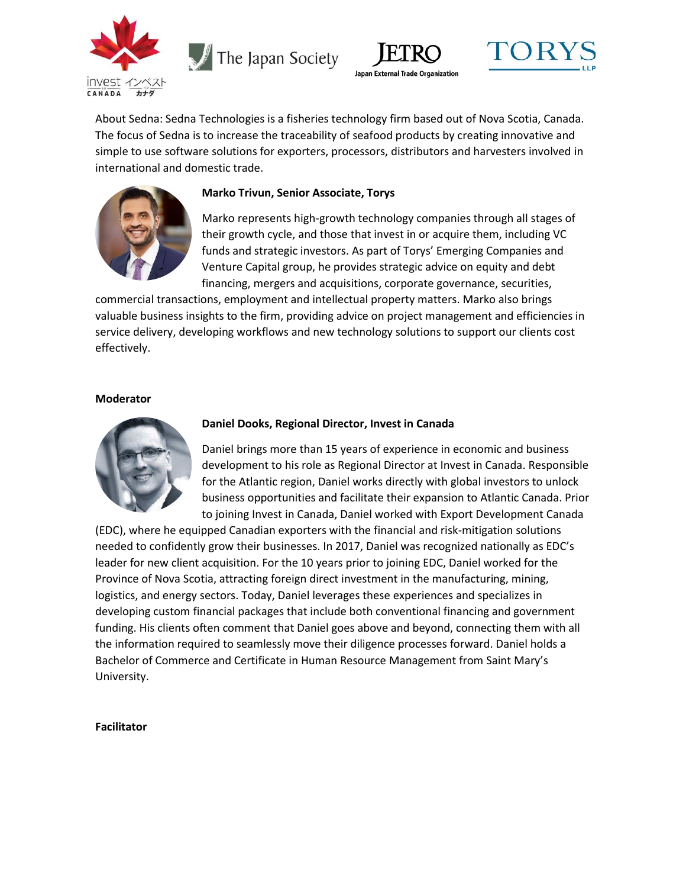

The Japan Society





About Sedna: Sedna Technologies is a fisheries technology firm based out of Nova Scotia, Canada. The focus of Sedna is to increase the traceability of seafood products by creating innovative and simple to use software solutions for exporters, processors, distributors and harvesters involved in international and domestic trade.



# **Marko Trivun, Senior Associate, Torys**

Marko represents high-growth technology companies through all stages of their growth cycle, and those that invest in or acquire them, including VC funds and strategic investors. As part of Torys' Emerging Companies and Venture Capital group, he provides strategic advice on equity and debt financing, mergers and acquisitions, corporate governance, securities,

commercial transactions, employment and intellectual property matters. Marko also brings valuable business insights to the firm, providing advice on project management and efficiencies in service delivery, developing workflows and new technology solutions to support our clients cost effectively.

#### **Moderator**



## **Daniel Dooks, Regional Director, Invest in Canada**

Daniel brings more than 15 years of experience in economic and business development to his role as Regional Director at Invest in Canada. Responsible for the Atlantic region, Daniel works directly with global investors to unlock business opportunities and facilitate their expansion to Atlantic Canada. Prior to joining Invest in Canada, Daniel worked with Export Development Canada

(EDC), where he equipped Canadian exporters with the financial and risk-mitigation solutions needed to confidently grow their businesses. In 2017, Daniel was recognized nationally as EDC's leader for new client acquisition. For the 10 years prior to joining EDC, Daniel worked for the Province of Nova Scotia, attracting foreign direct investment in the manufacturing, mining, logistics, and energy sectors. Today, Daniel leverages these experiences and specializes in developing custom financial packages that include both conventional financing and government funding. His clients often comment that Daniel goes above and beyond, connecting them with all the information required to seamlessly move their diligence processes forward. Daniel holds a Bachelor of Commerce and Certificate in Human Resource Management from Saint Mary's University.

## **Facilitator**